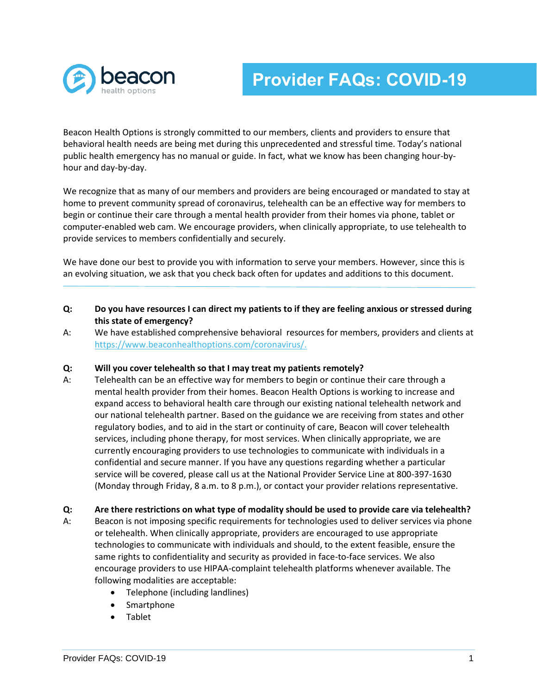

## **Provider FAQs: COVID-19**

Beacon Health Options is strongly committed to our members, clients and providers to ensure that behavioral health needs are being met during this unprecedented and stressful time. Today's national public health emergency has no manual or guide. In fact, what we know has been changing hour-byhour and day-by-day.

We recognize that as many of our members and providers are being encouraged or mandated to stay at home to prevent community spread of coronavirus, telehealth can be an effective way for members to begin or continue their care through a mental health provider from their homes via phone, tablet or computer-enabled web cam. We encourage providers, when clinically appropriate, to use telehealth to provide services to members confidentially and securely.

We have done our best to provide you with information to serve your members. However, since this is an evolving situation, we ask that you check back often for updates and additions to this document.

- **Q: Do you have resources I can direct my patients to if they are feeling anxious or stressed during this state of emergency?**
- A: We have established comprehensive behavioral resources for members, providers and clients at [https://www.beaconhealthoptions.com/coronavirus/.](https://www.beaconhealthoptions.com/coronavirus/)

#### **Q: Will you cover telehealth so that I may treat my patients remotely?**

- A: Telehealth can be an effective way for members to begin or continue their care through a mental health provider from their homes. Beacon Health Options is working to increase and expand access to behavioral health care through our existing national telehealth network and our national telehealth partner. Based on the guidance we are receiving from states and other regulatory bodies, and to aid in the start or continuity of care, Beacon will cover telehealth services, including phone therapy, for most services. When clinically appropriate, we are currently encouraging providers to use technologies to communicate with individuals in a confidential and secure manner. If you have any questions regarding whether a particular service will be covered, please call us at the National Provider Service Line at 800-397-1630 (Monday through Friday, 8 a.m. to 8 p.m.), or contact your provider relations representative.
- **Q: Are there restrictions on what type of modality should be used to provide care via telehealth?**
- A: Beacon is not imposing specific requirements for technologies used to deliver services via phone or telehealth. When clinically appropriate, providers are encouraged to use appropriate technologies to communicate with individuals and should, to the extent feasible, ensure the same rights to confidentiality and security as provided in face-to-face services. We also encourage providers to use HIPAA-complaint telehealth platforms whenever available. The following modalities are acceptable:
	- Telephone (including landlines)
	- Smartphone
	- Tablet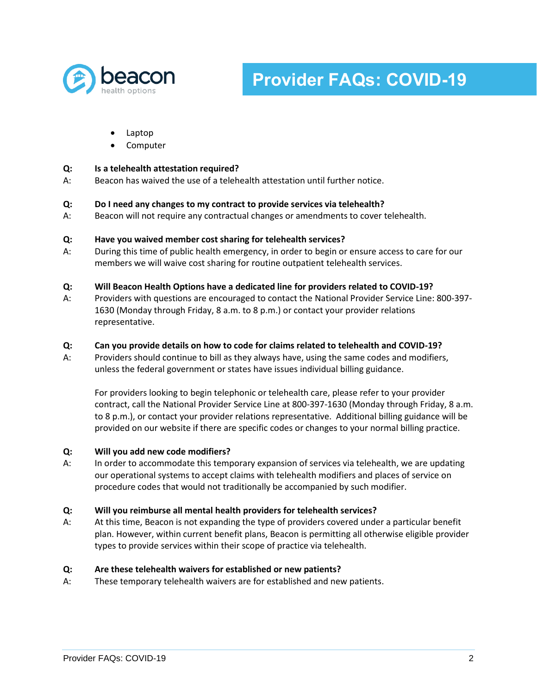

# **Provider FAQs: COVID-19**

- Laptop
- Computer

## **Q: Is a telehealth attestation required?**

A: Beacon has waived the use of a telehealth attestation until further notice.

#### **Q: Do I need any changes to my contract to provide services via telehealth?**

A: Beacon will not require any contractual changes or amendments to cover telehealth.

## **Q: Have you waived member cost sharing for telehealth services?**

A: During this time of public health emergency, in order to begin or ensure access to care for our members we will waive cost sharing for routine outpatient telehealth services.

## **Q: Will Beacon Health Options have a dedicated line for providers related to COVID-19?**

A: Providers with questions are encouraged to contact the National Provider Service Line: 800-397- 1630 (Monday through Friday, 8 a.m. to 8 p.m.) or contact your provider relations representative.

## **Q: Can you provide details on how to code for claims related to telehealth and COVID-19?**

A: Providers should continue to bill as they always have, using the same codes and modifiers, unless the federal government or states have issues individual billing guidance.

For providers looking to begin telephonic or telehealth care, please refer to your provider contract, call the National Provider Service Line at 800-397-1630 (Monday through Friday, 8 a.m. to 8 p.m.), or contact your provider relations representative. Additional billing guidance will be provided on our website if there are specific codes or changes to your normal billing practice.

#### **Q: Will you add new code modifiers?**

A: In order to accommodate this temporary expansion of services via telehealth, we are updating our operational systems to accept claims with telehealth modifiers and places of service on procedure codes that would not traditionally be accompanied by such modifier.

#### **Q: Will you reimburse all mental health providers for telehealth services?**

A: At this time, Beacon is not expanding the type of providers covered under a particular benefit plan. However, within current benefit plans, Beacon is permitting all otherwise eligible provider types to provide services within their scope of practice via telehealth.

#### **Q: Are these telehealth waivers for established or new patients?**

A: These temporary telehealth waivers are for established and new patients.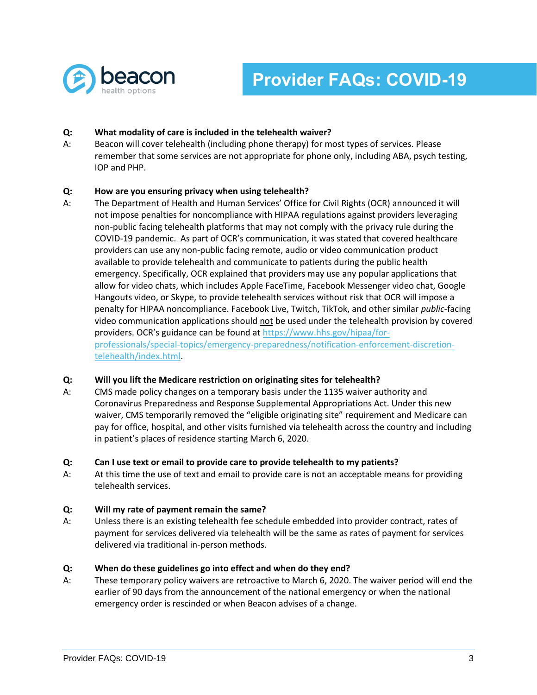

## **Q: What modality of care is included in the telehealth waiver?**

A: Beacon will cover telehealth (including phone therapy) for most types of services. Please remember that some services are not appropriate for phone only, including ABA, psych testing, IOP and PHP.

## **Q: How are you ensuring privacy when using telehealth?**

A: The Department of Health and Human Services' Office for Civil Rights (OCR) announced it will not impose penalties for noncompliance with HIPAA regulations against providers leveraging non-public facing telehealth platforms that may not comply with the privacy rule during the COVID-19 pandemic. As part of OCR's communication, it was stated that covered healthcare providers can use any non-public facing remote, audio or video communication product available to provide telehealth and communicate to patients during the public health emergency. Specifically, OCR explained that providers may use any popular applications that allow for video chats, which includes Apple FaceTime, Facebook Messenger video chat, Google Hangouts video, or Skype, to provide telehealth services without risk that OCR will impose a penalty for HIPAA noncompliance. Facebook Live, Twitch, TikTok, and other similar *public*-facing video communication applications should not be used under the telehealth provision by covered providers. OCR's guidance can be found at [https://www.hhs.gov/hipaa/for](https://www.hhs.gov/hipaa/for-professionals/special-topics/emergency-preparedness/notification-enforcement-discretion-telehealth/index.html)[professionals/special-topics/emergency-preparedness/notification-enforcement-discretion](https://www.hhs.gov/hipaa/for-professionals/special-topics/emergency-preparedness/notification-enforcement-discretion-telehealth/index.html)[telehealth/index.html.](https://www.hhs.gov/hipaa/for-professionals/special-topics/emergency-preparedness/notification-enforcement-discretion-telehealth/index.html)

## **Q: Will you lift the Medicare restriction on originating sites for telehealth?**

A: CMS made policy changes on a temporary basis under the 1135 waiver authority and Coronavirus Preparedness and Response Supplemental Appropriations Act. Under this new waiver, CMS temporarily removed the "eligible originating site" requirement and Medicare can pay for office, hospital, and other visits furnished via telehealth across the country and including in patient's places of residence starting March 6, 2020.

#### **Q: Can I use text or email to provide care to provide telehealth to my patients?**

A: At this time the use of text and email to provide care is not an acceptable means for providing telehealth services.

#### **Q: Will my rate of payment remain the same?**

A: Unless there is an existing telehealth fee schedule embedded into provider contract, rates of payment for services delivered via telehealth will be the same as rates of payment for services delivered via traditional in-person methods.

#### **Q: When do these guidelines go into effect and when do they end?**

A: These temporary policy waivers are retroactive to March 6, 2020. The waiver period will end the earlier of 90 days from the announcement of the national emergency or when the national emergency order is rescinded or when Beacon advises of a change.